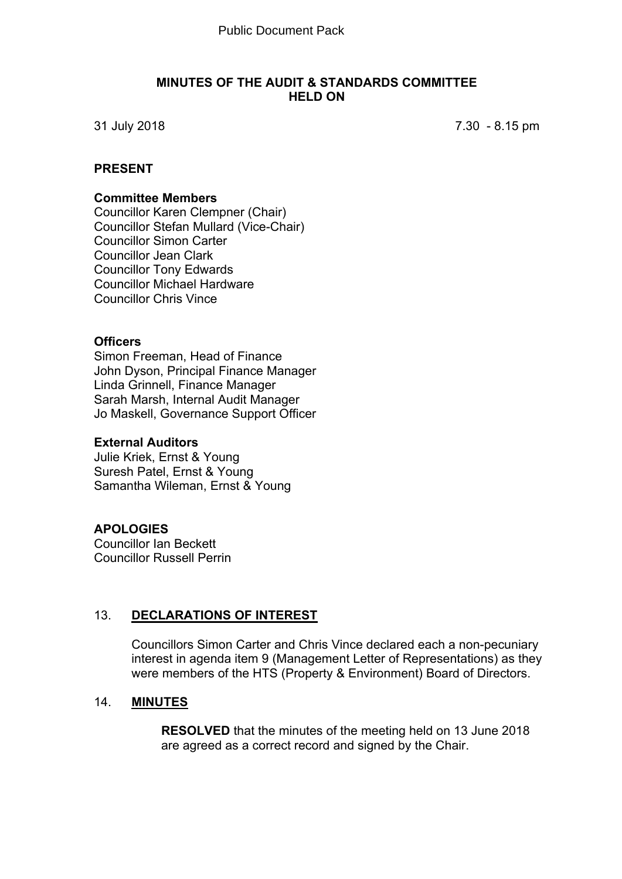#### **MINUTES OF THE AUDIT & STANDARDS COMMITTEE HELD ON**

31 July 2018 7.30 - 8.15 pm

#### **PRESENT**

#### **Committee Members**

Councillor Karen Clempner (Chair) Councillor Stefan Mullard (Vice-Chair) Councillor Simon Carter Councillor Jean Clark Councillor Tony Edwards Councillor Michael Hardware Councillor Chris Vince

### **Officers**

Simon Freeman, Head of Finance John Dyson, Principal Finance Manager Linda Grinnell, Finance Manager Sarah Marsh, Internal Audit Manager Jo Maskell, Governance Support Officer

#### **External Auditors**

Julie Kriek, Ernst & Young Suresh Patel, Ernst & Young Samantha Wileman, Ernst & Young

#### **APOLOGIES**

Councillor Ian Beckett Councillor Russell Perrin

#### 13. **DECLARATIONS OF INTEREST**

Councillors Simon Carter and Chris Vince declared each a non-pecuniary interest in agenda item 9 (Management Letter of Representations) as they were members of the HTS (Property & Environment) Board of Directors.

### 14. **MINUTES**

**RESOLVED** that the minutes of the meeting held on 13 June 2018 are agreed as a correct record and signed by the Chair.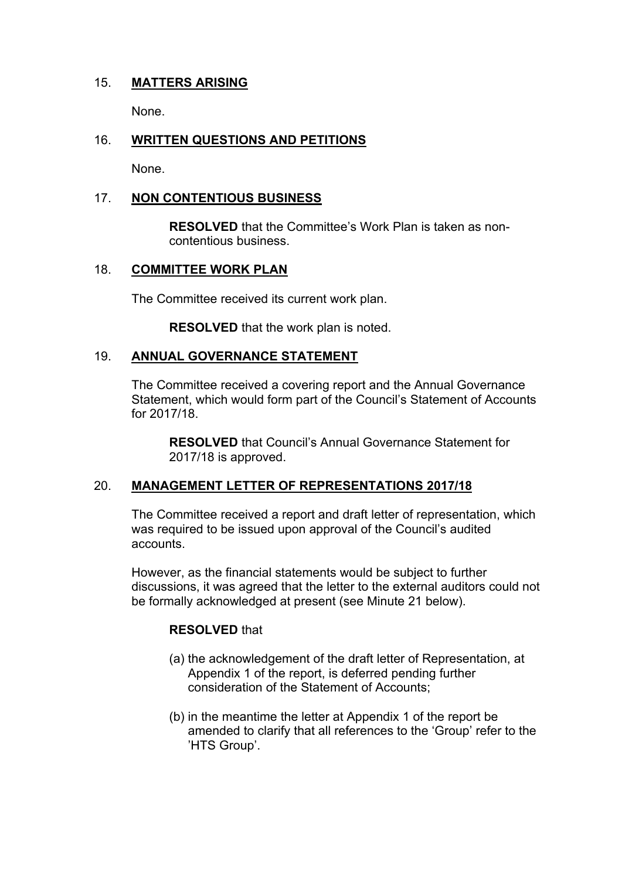# 15. **MATTERS ARISING**

None.

# 16. **WRITTEN QUESTIONS AND PETITIONS**

None.

### 17. **NON CONTENTIOUS BUSINESS**

**RESOLVED** that the Committee's Work Plan is taken as noncontentious business.

## 18. **COMMITTEE WORK PLAN**

The Committee received its current work plan.

**RESOLVED** that the work plan is noted.

#### 19. **ANNUAL GOVERNANCE STATEMENT**

The Committee received a covering report and the Annual Governance Statement, which would form part of the Council's Statement of Accounts for 2017/18.

**RESOLVED** that Council's Annual Governance Statement for 2017/18 is approved.

#### 20. **MANAGEMENT LETTER OF REPRESENTATIONS 2017/18**

The Committee received a report and draft letter of representation, which was required to be issued upon approval of the Council's audited accounts.

However, as the financial statements would be subject to further discussions, it was agreed that the letter to the external auditors could not be formally acknowledged at present (see Minute 21 below).

#### **RESOLVED** that

- (a) the acknowledgement of the draft letter of Representation, at Appendix 1 of the report, is deferred pending further consideration of the Statement of Accounts;
- (b) in the meantime the letter at Appendix 1 of the report be amended to clarify that all references to the 'Group' refer to the 'HTS Group'.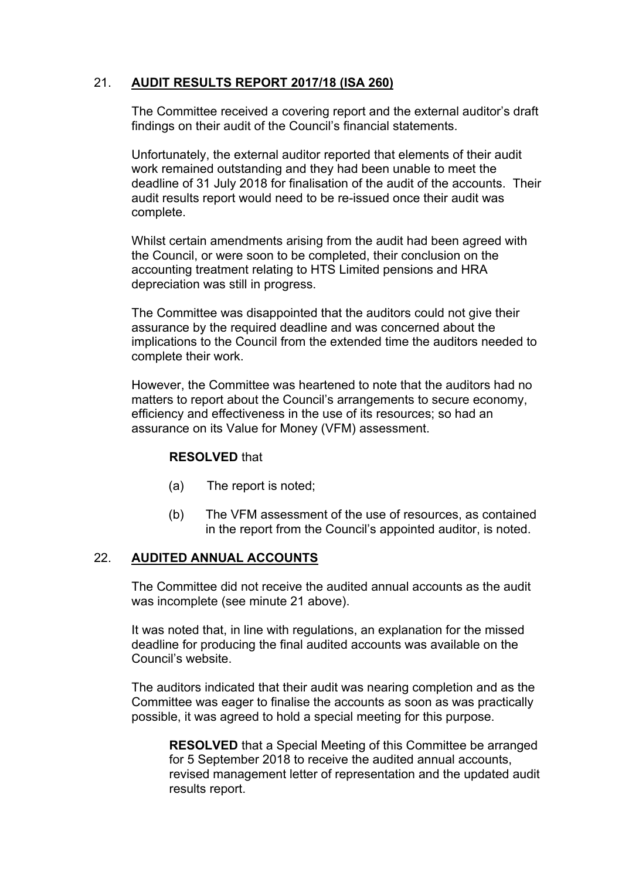# 21. **AUDIT RESULTS REPORT 2017/18 (ISA 260)**

The Committee received a covering report and the external auditor's draft findings on their audit of the Council's financial statements.

Unfortunately, the external auditor reported that elements of their audit work remained outstanding and they had been unable to meet the deadline of 31 July 2018 for finalisation of the audit of the accounts. Their audit results report would need to be re-issued once their audit was complete.

Whilst certain amendments arising from the audit had been agreed with the Council, or were soon to be completed, their conclusion on the accounting treatment relating to HTS Limited pensions and HRA depreciation was still in progress.

The Committee was disappointed that the auditors could not give their assurance by the required deadline and was concerned about the implications to the Council from the extended time the auditors needed to complete their work.

However, the Committee was heartened to note that the auditors had no matters to report about the Council's arrangements to secure economy, efficiency and effectiveness in the use of its resources; so had an assurance on its Value for Money (VFM) assessment.

#### **RESOLVED** that

- (a) The report is noted;
- (b) The VFM assessment of the use of resources, as contained in the report from the Council's appointed auditor, is noted.

#### 22. **AUDITED ANNUAL ACCOUNTS**

The Committee did not receive the audited annual accounts as the audit was incomplete (see minute 21 above).

It was noted that, in line with regulations, an explanation for the missed deadline for producing the final audited accounts was available on the Council's website.

The auditors indicated that their audit was nearing completion and as the Committee was eager to finalise the accounts as soon as was practically possible, it was agreed to hold a special meeting for this purpose.

**RESOLVED** that a Special Meeting of this Committee be arranged for 5 September 2018 to receive the audited annual accounts, revised management letter of representation and the updated audit results report.